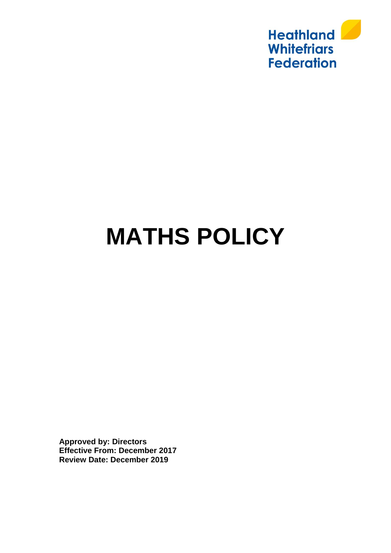

# **MATHS POLICY**

**Approved by: Directors Effective From: December 2017 Review Date: December 2019**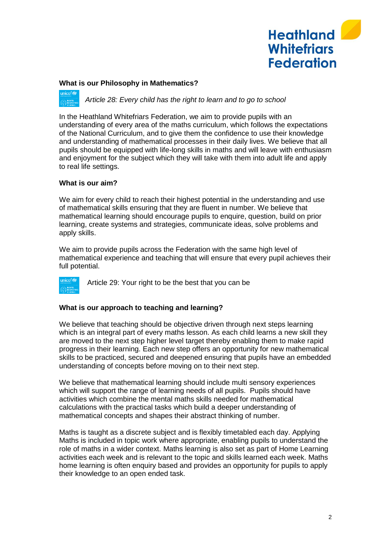

## **What is our Philosophy in Mathematics?**

*Article 28: Every child has the right to learn and to go to school*

In the Heathland Whitefriars Federation, we aim to provide pupils with an understanding of every area of the maths curriculum, which follows the expectations of the National Curriculum, and to give them the confidence to use their knowledge and understanding of mathematical processes in their daily lives. We believe that all pupils should be equipped with life-long skills in maths and will leave with enthusiasm and enjoyment for the subject which they will take with them into adult life and apply to real life settings.

## **What is our aim?**

We aim for every child to reach their highest potential in the understanding and use of mathematical skills ensuring that they are fluent in number. We believe that mathematical learning should encourage pupils to enquire, question, build on prior learning, create systems and strategies, communicate ideas, solve problems and apply skills.

We aim to provide pupils across the Federation with the same high level of mathematical experience and teaching that will ensure that every pupil achieves their full potential.

Article 29: Your right to be the best that you can be

# **What is our approach to teaching and learning?**

We believe that teaching should be objective driven through next steps learning which is an integral part of every maths lesson. As each child learns a new skill they are moved to the next step higher level target thereby enabling them to make rapid progress in their learning. Each new step offers an opportunity for new mathematical skills to be practiced, secured and deepened ensuring that pupils have an embedded understanding of concepts before moving on to their next step.

We believe that mathematical learning should include multi sensory experiences which will support the range of learning needs of all pupils. Pupils should have activities which combine the mental maths skills needed for mathematical calculations with the practical tasks which build a deeper understanding of mathematical concepts and shapes their abstract thinking of number.

Maths is taught as a discrete subject and is flexibly timetabled each day. Applying Maths is included in topic work where appropriate, enabling pupils to understand the role of maths in a wider context. Maths learning is also set as part of Home Learning activities each week and is relevant to the topic and skills learned each week. Maths home learning is often enquiry based and provides an opportunity for pupils to apply their knowledge to an open ended task.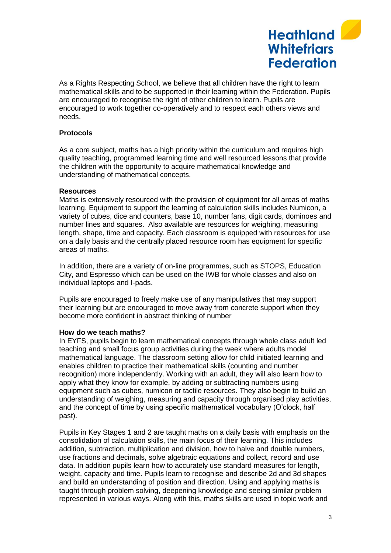

As a Rights Respecting School, we believe that all children have the right to learn mathematical skills and to be supported in their learning within the Federation. Pupils are encouraged to recognise the right of other children to learn. Pupils are encouraged to work together co-operatively and to respect each others views and needs.

# **Protocols**

As a core subject, maths has a high priority within the curriculum and requires high quality teaching, programmed learning time and well resourced lessons that provide the children with the opportunity to acquire mathematical knowledge and understanding of mathematical concepts.

#### **Resources**

Maths is extensively resourced with the provision of equipment for all areas of maths learning. Equipment to support the learning of calculation skills includes Numicon, a variety of cubes, dice and counters, base 10, number fans, digit cards, dominoes and number lines and squares. Also available are resources for weighing, measuring length, shape, time and capacity. Each classroom is equipped with resources for use on a daily basis and the centrally placed resource room has equipment for specific areas of maths.

In addition, there are a variety of on-line programmes, such as STOPS, Education City, and Espresso which can be used on the IWB for whole classes and also on individual laptops and I-pads.

Pupils are encouraged to freely make use of any manipulatives that may support their learning but are encouraged to move away from concrete support when they become more confident in abstract thinking of number

#### **How do we teach maths?**

In EYFS, pupils begin to learn mathematical concepts through whole class adult led teaching and small focus group activities during the week where adults model mathematical language. The classroom setting allow for child initiated learning and enables children to practice their mathematical skills (counting and number recognition) more independently. Working with an adult, they will also learn how to apply what they know for example, by adding or subtracting numbers using equipment such as cubes, numicon or tactile resources. They also begin to build an understanding of weighing, measuring and capacity through organised play activities, and the concept of time by using specific mathematical vocabulary (O'clock, half past).

Pupils in Key Stages 1 and 2 are taught maths on a daily basis with emphasis on the consolidation of calculation skills, the main focus of their learning. This includes addition, subtraction, multiplication and division, how to halve and double numbers, use fractions and decimals, solve algebraic equations and collect, record and use data. In addition pupils learn how to accurately use standard measures for length, weight, capacity and time. Pupils learn to recognise and describe 2d and 3d shapes and build an understanding of position and direction. Using and applying maths is taught through problem solving, deepening knowledge and seeing similar problem represented in various ways. Along with this, maths skills are used in topic work and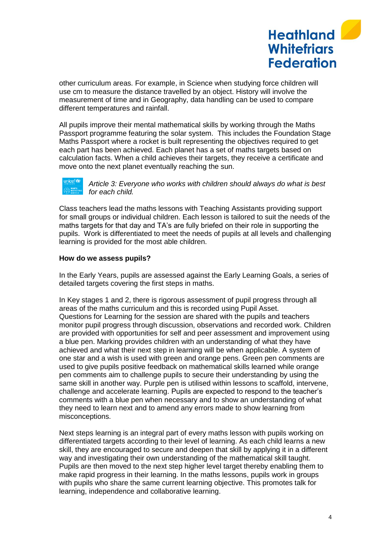

other curriculum areas. For example, in Science when studying force children will use cm to measure the distance travelled by an object. History will involve the measurement of time and in Geography, data handling can be used to compare different temperatures and rainfall.

All pupils improve their mental mathematical skills by working through the Maths Passport programme featuring the solar system. This includes the Foundation Stage Maths Passport where a rocket is built representing the objectives required to get each part has been achieved. Each planet has a set of maths targets based on calculation facts. When a child achieves their targets, they receive a certificate and move onto the next planet eventually reaching the sun.



*Article 3: Everyone who works with children should always do what is best for each child.*

Class teachers lead the maths lessons with Teaching Assistants providing support for small groups or individual children. Each lesson is tailored to suit the needs of the maths targets for that day and TA's are fully briefed on their role in supporting the pupils. Work is differentiated to meet the needs of pupils at all levels and challenging learning is provided for the most able children.

## **How do we assess pupils?**

In the Early Years, pupils are assessed against the Early Learning Goals, a series of detailed targets covering the first steps in maths.

In Key stages 1 and 2, there is rigorous assessment of pupil progress through all areas of the maths curriculum and this is recorded using Pupil Asset. Questions for Learning for the session are shared with the pupils and teachers monitor pupil progress through discussion, observations and recorded work. Children are provided with opportunities for self and peer assessment and improvement using a blue pen. Marking provides children with an understanding of what they have achieved and what their next step in learning will be when applicable. A system of one star and a wish is used with green and orange pens. Green pen comments are used to give pupils positive feedback on mathematical skills learned while orange pen comments aim to challenge pupils to secure their understanding by using the same skill in another way. Purple pen is utilised within lessons to scaffold, intervene, challenge and accelerate learning. Pupils are expected to respond to the teacher's comments with a blue pen when necessary and to show an understanding of what they need to learn next and to amend any errors made to show learning from misconceptions.

Next steps learning is an integral part of every maths lesson with pupils working on differentiated targets according to their level of learning. As each child learns a new skill, they are encouraged to secure and deepen that skill by applying it in a different way and investigating their own understanding of the mathematical skill taught. Pupils are then moved to the next step higher level target thereby enabling them to make rapid progress in their learning. In the maths lessons, pupils work in groups with pupils who share the same current learning objective. This promotes talk for learning, independence and collaborative learning.